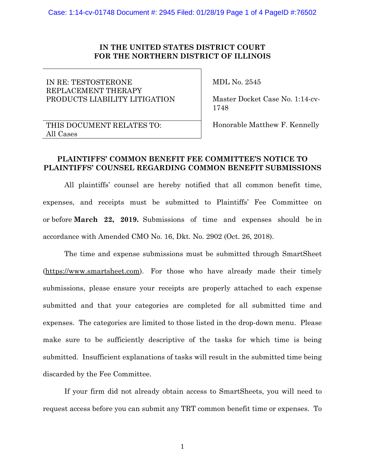#### **IN THE UNITED STATES DISTRICT COURT FOR THE NORTHERN DISTRICT OF ILLINOIS**

# IN RE: TESTOSTERONE REPLACEMENT THERAPY PRODUCTS LIABILITY LITIGATION

MDL No. 2545

 Master Docket Case No. 1:14-cv- 1748

## THIS DOCUMENT RELATES TO: All Cases

Honorable Matthew F. Kennelly

## **PLAINTIFFS' COMMON BENEFIT FEE COMMITTEE'S NOTICE TO PLAINTIFFS' COUNSEL REGARDING COMMON BENEFIT SUBMISSIONS**

All plaintiffs' counsel are hereby notified that all common benefit time, expenses, and receipts must be submitted to Plaintiffs' Fee Committee on or before **March 22, 2019.** Submissions of time and expenses should be in accordance with Amended CMO No. 16, Dkt. No. 2902 (Oct. 26, 2018).

The time and expense submissions must be submitted through SmartSheet [\(https://www.smartsheet.com\)](https://protect-us.mimecast.com/s/4DQ0CgJ8YAfALjLnfolony?domain=linkprotect.cudasvc.com). For those who have already made their timely submissions, please ensure your receipts are properly attached to each expense submitted and that your categories are completed for all submitted time and expenses. The categories are limited to those listed in the drop-down menu. Please make sure to be sufficiently descriptive of the tasks for which time is being submitted. Insufficient explanations of tasks will result in the submitted time being discarded by the Fee Committee.

If your firm did not already obtain access to SmartSheets, you will need to request access before you can submit any TRT common benefit time or expenses. To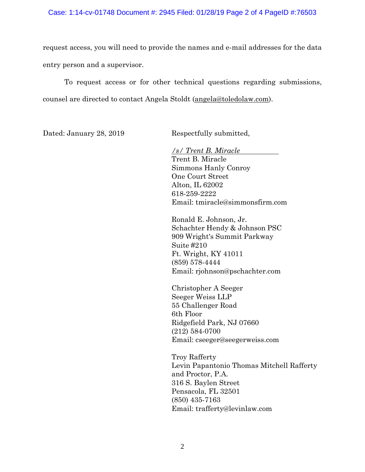#### Case: 1:14-cv-01748 Document #: 2945 Filed: 01/28/19 Page 2 of 4 PageID #:76503

request access, you will need to provide the names and e-mail addresses for the data entry person and a supervisor.

To request access or for other technical questions regarding submissions, counsel are directed to contact Angela Stoldt [\(angela@toledolaw.com\)](mailto:angela@toledolaw.com).

Dated: January 28, 2019 Respectfully submitted,

*/s/ Trent B. Miracle* Trent B. Miracle Simmons Hanly Conroy One Court Street Alton, IL 62002 618-259-2222 Email: tmiracle@simmonsfirm.com

Ronald E. Johnson, Jr. Schachter Hendy & Johnson PSC 909 Wright's Summit Parkway Suite #210 Ft. Wright, KY 41011 (859) 578-4444 Email: rjohnson@pschachter.com

Christopher A Seeger Seeger Weiss LLP 55 Challenger Road 6th Floor Ridgefield Park, NJ 07660 (212) 584-0700 Email: cseeger@seegerweiss.com

Troy Rafferty Levin Papantonio Thomas Mitchell Rafferty and Proctor, P.A. 316 S. Baylen Street Pensacola, FL 32501 (850) 435-7163 Email: trafferty@levinlaw.com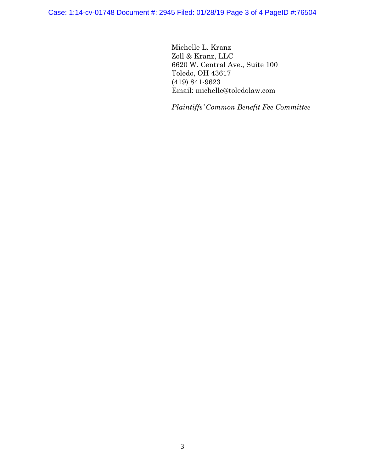Case: 1:14-cv-01748 Document #: 2945 Filed: 01/28/19 Page 3 of 4 PageID #:76504

Michelle L. Kranz Zoll & Kranz, LLC 6620 W. Central Ave., Suite 100 Toledo, OH 43617 (419) 841-9623 Email: michelle@toledolaw.com

*Plaintiffs' Common Benefit Fee Committee*